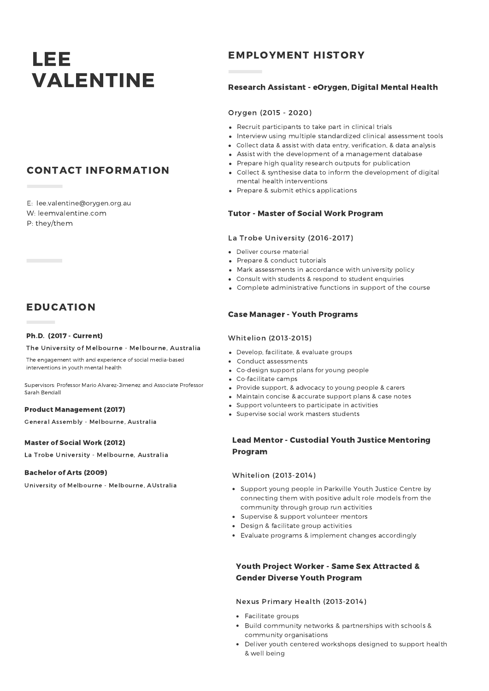# LEE VALENTINE Research Assistant - eOrygen, Digital Mental Health

# CONTACT INFORMATION

E: lee.valentine@orygen.org.au W: leemvalentine.com P: they/them

# EDUCATION

#### Ph.D. (2017 - Current)

#### The University of Melbourne - Melbourne, Australia

The engagement with and experience of social media-based interventions in youth mental health

Supervisors: Professor Mario Alvarez-Jimenez and Associate Professor Sarah Bendall

#### Product Management (2017)

General Assembly - Melbourne, Australia

#### Master of Social Work (2012)

La Trobe University - Melbourne, Australia

#### Bachelor of Arts (2009)

University of Melbourne - Melbourne, AUstralia

# EMPLOYMENT HISTORY

#### Orygen (2015 - 2020)

- Recruit participants to take part in clinical trials
- Interview using multiple standardized clinical assessment tools
- Collect data & assist with data entry, verification, & data analysis
- Assist with the development of a management database
- Prepare high quality research outputs for publication
- Collect & synthesise data to inform the development of digital mental health interventions
- Prepare & submit ethics applications

#### Tutor - Master of Social Work Program

#### La Trobe University (2016-2017)

- Deliver course material
- Prepare & conduct tutorials
- Mark assessments in accordance with university policy
- Consult with students & respond to student enquiries
- Complete administrative functions in support of the course

#### Case Manager - Youth Programs

#### Whitelion (2013-2015)

- Develop, facilitate, & evaluate groups
- Conduct assessments
- Co-design support plans for young people
- Co-facilitate camps
- Provide support, & advocacy to young people & carers
- Maintain concise & accurate support plans & case notes
- Support volunteers to participate in activities
- Supervise social work masters students

# Lead Mentor - Custodial Youth Justice Mentoring Program

#### Whitelion (2013-2014)

- Support young people in Parkville Youth Justice Centre by connecting them with positive adult role models from the community through group run activities
- Supervise & support volunteer mentors
- Design & facilitate group activities
- Evaluate programs & implement changes accordingly

### Youth Project Worker - Same Sex Attracted & Gender Diverse Youth Program

#### Nexus Primary Health (2013-2014)

- Facilitate groups
- Build community networks & partnerships with schools & community organisations
- Deliver youth centered workshops designed to support health & well being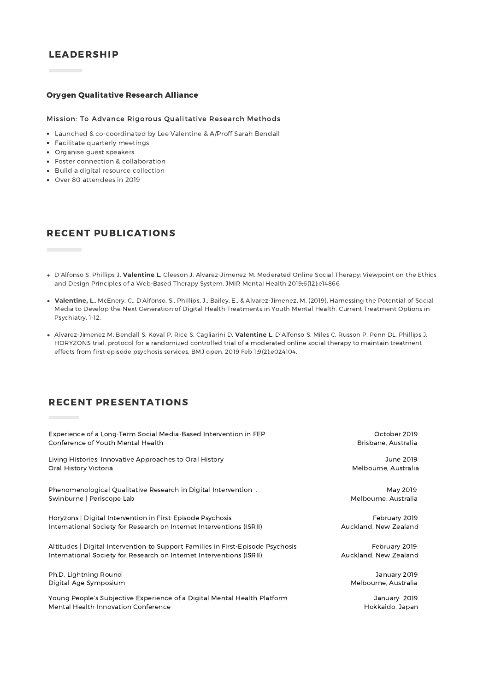# LEADERSHIP

#### Orygen Qualitative Research Alliance

#### Mission: To Advance Rigorous Qualitative Research Methods

- Launched & co-coordinated by Lee Valentine & A/Proff Sarah Bendall
- Facilitate quarterly meetings
- Organise guest speakers
- Foster connection & collaboration
- Build a digital resource collection
- Over 80 attendees in 2019

# RECENT PUBLICATIONS

- D'Alfonso S, Phillips J, **Valentine L**, Gleeson J, Alvarez-Jimenez M. Moderated Online Social Therapy: Viewpoint on the Ethics and Design Principles of a Web-Based Therapy System. JMIR Mental Health 2019;6(12):e14866
- **Valentine, L**., McEnery, C., D'Alfonso, S., Phillips, J., Bailey, E., & Alvarez-Jimenez, M. (2019). Harnessing the Potential of Social Media to Develop the Next Generation of Digital Health Treatments in Youth Mental Health. Current Treatment Options in Psychiatry, 1-12.
- Alvarez-Jimenez M, Bendall S, Koval P, Rice S, Cagliarini D, **Valentine L**, D'Alfonso S, Miles C, Russon P, Penn DL, Phillips J. HORYZONS trial: protocol for a randomized controlled trial of a moderated online social therapy to maintain treatment effects from first-episode psychosis services. BMJ open. 2019 Feb 1;9(2):e024104.

# RECENT PRESENTATIONS

| Experience of a Long-Term Social Media-Based Intervention in FEP                | October 2019          |
|---------------------------------------------------------------------------------|-----------------------|
| Conference of Youth Mental Health                                               | Brisbane, Australia   |
| Living Histories: Innovative Approaches to Oral History                         | June 2019             |
| Oral History Victoria                                                           | Melbourne, Australia  |
| Phenomenological Qualitative Research in Digital Intervention.                  | May 2019              |
| Swinburne   Periscope Lab                                                       | Melbourne, Australia  |
| Horyzons   Digital Intervention in First-Episode Psychosis                      | February 2019         |
| International Society for Research on Internet Interventions (ISRII)            | Auckland, New Zealand |
| Altitudes   Digital Intervention to Support Families in First-Episode Psychosis | February 2019         |
| International Society for Research on Internet Interventions (ISRII)            | Auckland, New Zealand |
| Ph.D. Lightning Round                                                           | January 2019          |
| Digital Age Symposium                                                           | Melbourne, Australia  |
| Young People's Subjective Experience of a Digital Mental Health Platform        | January 2019          |
| Mental Health Innovation Conference                                             | Hokkaido, Japan       |